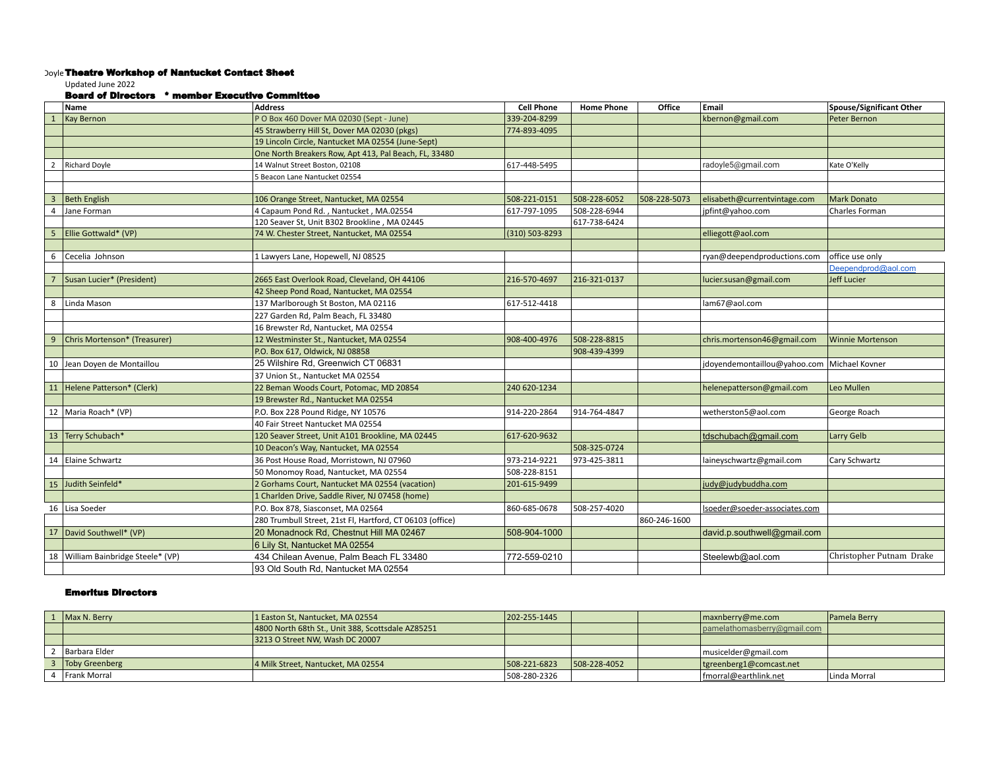## Doyle Theatre Workshop of Nantucket Contact Sheet

Updated June 2022

## Board of Directors \* member Executive Committee

|                | Name                               | <b>Address</b>                                            | <b>Cell Phone</b> | <b>Home Phone</b> | Office       | Email                                         | Spouse/Significant Other |
|----------------|------------------------------------|-----------------------------------------------------------|-------------------|-------------------|--------------|-----------------------------------------------|--------------------------|
|                | <b>Kay Bernon</b>                  | P O Box 460 Dover MA 02030 (Sept - June)                  | 339-204-8299      |                   |              | kbernon@gmail.com                             | Peter Bernon             |
|                |                                    | 45 Strawberry Hill St, Dover MA 02030 (pkgs)              | 774-893-4095      |                   |              |                                               |                          |
|                |                                    | 19 Lincoln Circle, Nantucket MA 02554 (June-Sept)         |                   |                   |              |                                               |                          |
|                |                                    | One North Breakers Row, Apt 413, Pal Beach, FL, 33480     |                   |                   |              |                                               |                          |
| $\overline{2}$ | <b>Richard Doyle</b>               | 14 Walnut Street Boston, 02108                            | 617-448-5495      |                   |              | radoyle5@gmail.com                            | Kate O'Kelly             |
|                |                                    | 5 Beacon Lane Nantucket 02554                             |                   |                   |              |                                               |                          |
|                |                                    |                                                           |                   |                   |              |                                               |                          |
| $\overline{3}$ | <b>Beth English</b>                | 106 Orange Street, Nantucket, MA 02554                    | 508-221-0151      | 508-228-6052      | 508-228-5073 | elisabeth@currentvintage.com                  | Mark Donato              |
| $\overline{4}$ | Jane Forman                        | 4 Capaum Pond Rd., Nantucket, MA.02554                    | 617-797-1095      | 508-228-6944      |              | jpfint@yahoo.com                              | Charles Forman           |
|                |                                    | 120 Seaver St, Unit B302 Brookline, MA 02445              |                   | 617-738-6424      |              |                                               |                          |
| 5              | Ellie Gottwald* (VP)               | 74 W. Chester Street, Nantucket, MA 02554                 | (310) 503-8293    |                   |              | elliegott@aol.com                             |                          |
|                |                                    |                                                           |                   |                   |              |                                               |                          |
| 6              | Cecelia Johnson                    | 1 Lawyers Lane, Hopewell, NJ 08525                        |                   |                   |              | ryan@deependproductions.com                   | office use only          |
|                |                                    |                                                           |                   |                   |              |                                               | Deependprod@aol.com      |
|                | Susan Lucier* (President)          | 2665 East Overlook Road, Cleveland, OH 44106              | 216-570-4697      | 216-321-0137      |              | lucier.susan@gmail.com                        | Jeff Lucier              |
|                |                                    | 42 Sheep Pond Road, Nantucket, MA 02554                   |                   |                   |              |                                               |                          |
| 8              | Linda Mason                        | 137 Marlborough St Boston, MA 02116                       | 617-512-4418      |                   |              | lam67@aol.com                                 |                          |
|                |                                    | 227 Garden Rd, Palm Beach, FL 33480                       |                   |                   |              |                                               |                          |
|                |                                    | 16 Brewster Rd, Nantucket, MA 02554                       |                   |                   |              |                                               |                          |
| 9              | Chris Mortenson* (Treasurer)       | 12 Westminster St., Nantucket, MA 02554                   | 908-400-4976      | 508-228-8815      |              | chris.mortenson46@gmail.com                   | <b>Winnie Mortenson</b>  |
|                |                                    | P.O. Box 617, Oldwick, NJ 08858                           |                   | 908-439-4399      |              |                                               |                          |
|                | 10 Jean Doyen de Montaillou        | 25 Wilshire Rd, Greenwich CT 06831                        |                   |                   |              | jdoyendemontaillou@yahoo.com   Michael Kovner |                          |
|                |                                    | 37 Union St., Nantucket MA 02554                          |                   |                   |              |                                               |                          |
|                | 11 Helene Patterson* (Clerk)       | 22 Beman Woods Court, Potomac, MD 20854                   | 240 620-1234      |                   |              | helenepatterson@gmail.com                     | Leo Mullen               |
|                |                                    | 19 Brewster Rd., Nantucket MA 02554                       |                   |                   |              |                                               |                          |
|                | 12   Maria Roach* (VP)             | P.O. Box 228 Pound Ridge, NY 10576                        | 914-220-2864      | 914-764-4847      |              | wetherston5@aol.com                           | George Roach             |
|                |                                    | 40 Fair Street Nantucket MA 02554                         |                   |                   |              |                                               |                          |
|                | 13 Terry Schubach*                 | 120 Seaver Street, Unit A101 Brookline, MA 02445          | 617-620-9632      |                   |              | tdschubach@gmail.com                          | Larry Gelb               |
|                |                                    | 10 Deacon's Way, Nantucket, MA 02554                      |                   | 508-325-0724      |              |                                               |                          |
|                | 14 Elaine Schwartz                 | 36 Post House Road, Morristown, NJ 07960                  | 973-214-9221      | 973-425-3811      |              | laineyschwartz@gmail.com                      | Cary Schwartz            |
|                |                                    | 50 Monomoy Road, Nantucket, MA 02554                      | 508-228-8151      |                   |              |                                               |                          |
|                | 15 Judith Seinfeld*                | 2 Gorhams Court, Nantucket MA 02554 (vacation)            | 201-615-9499      |                   |              | judy@judybuddha.com                           |                          |
|                |                                    | 1 Charlden Drive, Saddle River, NJ 07458 (home)           |                   |                   |              |                                               |                          |
|                | 16 Lisa Soeder                     | P.O. Box 878, Siasconset, MA 02564                        | 860-685-0678      | 508-257-4020      |              | lsoeder@soeder-associates.com                 |                          |
|                |                                    | 280 Trumbull Street, 21st Fl, Hartford, CT 06103 (office) |                   |                   | 860-246-1600 |                                               |                          |
|                | 17   David Southwell* (VP)         | 20 Monadnock Rd, Chestnut Hill MA 02467                   | 508-904-1000      |                   |              | david.p.southwell@gmail.com                   |                          |
|                |                                    | 6 Lily St, Nantucket MA 02554                             |                   |                   |              |                                               |                          |
|                | 18 William Bainbridge Steele* (VP) | 434 Chilean Avenue, Palm Beach FL 33480                   | 772-559-0210      |                   |              | Steelewb@aol.com                              | Christopher Putnam Drake |
|                |                                    |                                                           |                   |                   |              |                                               |                          |
|                |                                    | 93 Old South Rd. Nantucket MA 02554                       |                   |                   |              |                                               |                          |

## Emeritus Directors

| Max N. Berry          | 1 Easton St, Nantucket, MA 02554                  | 202-255-1445 |               | maxnberry@me.com            | Pamela Berry |
|-----------------------|---------------------------------------------------|--------------|---------------|-----------------------------|--------------|
|                       | 4800 North 68th St., Unit 388, Scottsdale AZ85251 |              |               | pamelathomasberry@gmail.com |              |
|                       | 3213 O Street NW. Wash DC 20007                   |              |               |                             |              |
| Barbara Elder         |                                                   |              |               | musiceIder@gmail.com        |              |
| <b>Toby Greenberg</b> | 4 Milk Street, Nantucket, MA 02554                | 508-221-6823 | 1508-228-4052 | tgreenberg1@comcast.net     |              |
| Frank Morral          |                                                   | 508-280-2326 |               | fmorral@earthlink.net       | Linda Morral |